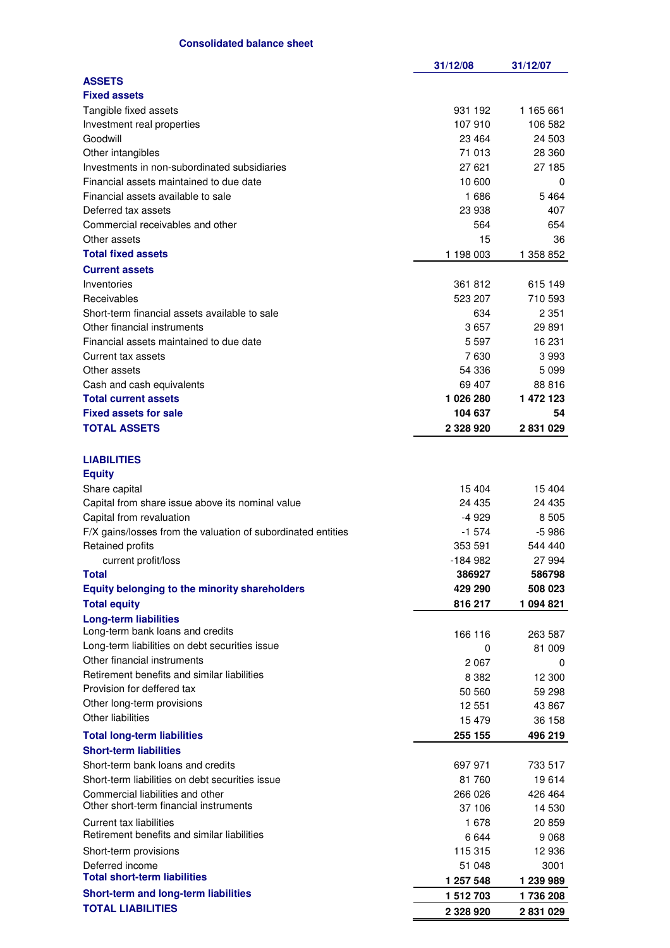|                                                                        | 31/12/08  | 31/12/07  |
|------------------------------------------------------------------------|-----------|-----------|
| <b>ASSETS</b>                                                          |           |           |
| <b>Fixed assets</b>                                                    |           |           |
| Tangible fixed assets                                                  | 931 192   | 1 165 661 |
| Investment real properties                                             | 107 910   | 106 582   |
| Goodwill                                                               | 23 4 64   | 24 503    |
| Other intangibles                                                      | 71 013    | 28 360    |
| Investments in non-subordinated subsidiaries                           | 27 621    | 27 185    |
| Financial assets maintained to due date                                | 10 600    | 0         |
| Financial assets available to sale                                     | 1686      | 5464      |
| Deferred tax assets                                                    | 23 938    | 407       |
| Commercial receivables and other                                       | 564       | 654       |
|                                                                        |           |           |
| Other assets                                                           | 15        | 36        |
| <b>Total fixed assets</b>                                              | 1 198 003 | 1 358 852 |
| <b>Current assets</b>                                                  |           |           |
| Inventories                                                            | 361 812   | 615 149   |
| Receivables                                                            | 523 207   | 710 593   |
| Short-term financial assets available to sale                          | 634       | 2 3 5 1   |
| Other financial instruments                                            | 3657      | 29 891    |
| Financial assets maintained to due date                                | 5 5 9 7   | 16 231    |
| Current tax assets                                                     | 7630      | 3993      |
| Other assets                                                           | 54 336    | 5 0 9 9   |
| Cash and cash equivalents                                              | 69 407    | 88 816    |
| <b>Total current assets</b>                                            | 1026280   | 1 472 123 |
| <b>Fixed assets for sale</b>                                           | 104 637   | 54        |
| <b>TOTAL ASSETS</b>                                                    | 2 328 920 | 2831029   |
|                                                                        |           |           |
| <b>LIABILITIES</b>                                                     |           |           |
|                                                                        |           |           |
| <b>Equity</b>                                                          | 15 404    | 15404     |
| Share capital                                                          |           |           |
| Capital from share issue above its nominal value                       | 24 4 35   | 24 435    |
| Capital from revaluation                                               | $-4929$   | 8505      |
| F/X gains/losses from the valuation of subordinated entities           | $-1574$   | $-5986$   |
| <b>Retained profits</b>                                                | 353 591   | 544 440   |
| current profit/loss                                                    | -184 982  | 27 994    |
| <b>Total</b>                                                           | 386927    | 586798    |
| <b>Equity belonging to the minority shareholders</b>                   | 429 290   | 508 023   |
| <b>Total equity</b>                                                    | 816 217   | 1 094 821 |
| <b>Long-term liabilities</b>                                           |           |           |
| Long-term bank loans and credits                                       | 166 116   | 263 587   |
| Long-term liabilities on debt securities issue                         | 0         | 81 009    |
| Other financial instruments                                            | 2067      | 0         |
| Retirement benefits and similar liabilities                            | 8 3 8 2   | 12 300    |
| Provision for deffered tax                                             | 50 560    | 59 298    |
| Other long-term provisions                                             | 12 551    | 43 867    |
| Other liabilities                                                      | 15479     | 36 158    |
| <b>Total long-term liabilities</b>                                     | 255 155   | 496 219   |
| <b>Short-term liabilities</b>                                          |           |           |
| Short-term bank loans and credits                                      | 697 971   | 733 517   |
| Short-term liabilities on debt securities issue                        | 81 760    | 19614     |
| Commercial liabilities and other                                       | 266 026   | 426 464   |
| Other short-term financial instruments                                 | 37 106    | 14 530    |
|                                                                        |           |           |
| Current tax liabilities<br>Retirement benefits and similar liabilities | 1678      | 20 859    |
|                                                                        | 6644      | 9 0 68    |
| Short-term provisions                                                  | 115 315   | 12 936    |
| Deferred income<br><b>Total short-term liabilities</b>                 | 51 048    | 3001      |
|                                                                        | 1 257 548 | 1 239 989 |
| Short-term and long-term liabilities                                   | 1 512 703 | 1736 208  |
| <b>TOTAL LIABILITIES</b>                                               | 2 328 920 | 2 831 029 |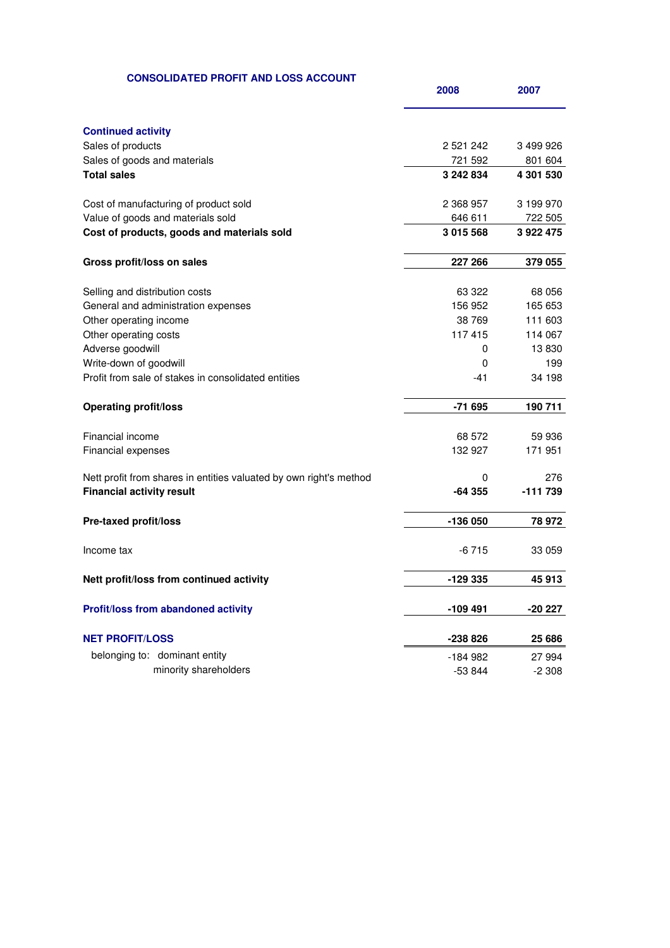## **CONSOLIDATED PROFIT AND LOSS ACCOUNT**

| <b>Continued activity</b>                                          |               |           |
|--------------------------------------------------------------------|---------------|-----------|
| Sales of products                                                  | 2 5 2 1 2 4 2 | 3 499 926 |
| Sales of goods and materials                                       | 721 592       | 801 604   |
| <b>Total sales</b>                                                 | 3 242 834     | 4 301 530 |
| Cost of manufacturing of product sold                              | 2 368 957     | 3 199 970 |
| Value of goods and materials sold                                  | 646 611       | 722 505   |
| Cost of products, goods and materials sold                         | 3 015 568     | 3922475   |
| Gross profit/loss on sales                                         | 227 266       | 379 055   |
| Selling and distribution costs                                     | 63 322        | 68 056    |
| General and administration expenses                                | 156 952       | 165 653   |
| Other operating income                                             | 38 769        | 111 603   |
| Other operating costs                                              | 117415        | 114 067   |
| Adverse goodwill                                                   | 0             | 13830     |
| Write-down of goodwill                                             | $\mathbf 0$   | 199       |
| Profit from sale of stakes in consolidated entities                | -41           | 34 198    |
| <b>Operating profit/loss</b>                                       | $-71695$      | 190 711   |
| Financial income                                                   | 68 572        | 59 936    |
| Financial expenses                                                 | 132 927       | 171 951   |
|                                                                    |               |           |
| Nett profit from shares in entities valuated by own right's method | 0             | 276       |
| <b>Financial activity result</b>                                   | $-64355$      | -111 739  |
| <b>Pre-taxed profit/loss</b>                                       | -136 050      | 78 972    |
| Income tax                                                         | $-6715$       | 33 059    |
| Nett profit/loss from continued activity                           | -129 335      | 45913     |
|                                                                    |               |           |
| Profit/loss from abandoned activity                                | -109 491      | -20 227   |
| <b>NET PROFIT/LOSS</b>                                             | -238 826      | 25 686    |
| belonging to: dominant entity                                      | $-184982$     | 27 994    |
| minority shareholders                                              | $-53844$      | $-2308$   |
|                                                                    |               |           |

**2008 2007**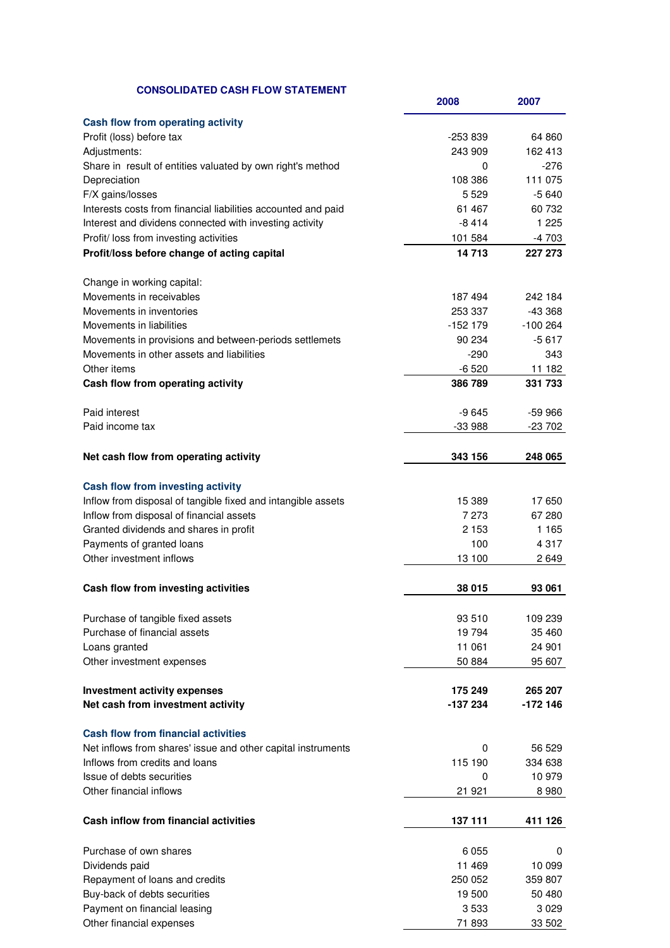| <b>CONSOLIDATED CASH FLOW STATEMENT</b>                       | 2008       | 2007       |
|---------------------------------------------------------------|------------|------------|
| Cash flow from operating activity                             |            |            |
| Profit (loss) before tax                                      | $-253839$  | 64 860     |
| Adjustments:                                                  | 243 909    | 162 413    |
| Share in result of entities valuated by own right's method    | 0          | -276       |
| Depreciation                                                  | 108 386    | 111 075    |
| F/X gains/losses                                              | 5 5 2 9    | $-5640$    |
| Interests costs from financial liabilities accounted and paid | 61 467     | 60 732     |
|                                                               | $-8414$    | 1 2 2 5    |
| Interest and dividens connected with investing activity       |            |            |
| Profit/ loss from investing activities                        | 101 584    | $-4703$    |
| Profit/loss before change of acting capital                   | 14713      | 227 273    |
| Change in working capital:                                    |            |            |
| Movements in receivables                                      | 187494     | 242 184    |
| Movements in inventories                                      | 253 337    | $-43368$   |
| Movements in liabilities                                      | $-152$ 179 | $-100264$  |
| Movements in provisions and between-periods settlemets        | 90 234     | $-5617$    |
| Movements in other assets and liabilities                     | $-290$     | 343        |
| Other items                                                   | $-6520$    | 11 182     |
| Cash flow from operating activity                             | 386 789    | 331 733    |
| Paid interest                                                 | $-9645$    | $-59966$   |
| Paid income tax                                               | $-33988$   | $-23\,702$ |
|                                                               |            |            |
| Net cash flow from operating activity                         | 343 156    | 248 065    |
| Cash flow from investing activity                             |            |            |
| Inflow from disposal of tangible fixed and intangible assets  | 15 389     | 17650      |
| Inflow from disposal of financial assets                      | 7 273      | 67 280     |
| Granted dividends and shares in profit                        | 2 1 5 3    | 1 1 6 5    |
| Payments of granted loans                                     | 100        | 4 3 1 7    |
| Other investment inflows                                      | 13 100     | 2649       |
| Cash flow from investing activities                           | 38 015     | 93 061     |
| Purchase of tangible fixed assets                             | 93 510     | 109 239    |
| Purchase of financial assets                                  | 19 794     | 35 460     |
| Loans granted                                                 | 11 061     | 24 901     |
| Other investment expenses                                     | 50 884     | 95 607     |
|                                                               |            |            |
| <b>Investment activity expenses</b>                           | 175 249    | 265 207    |
| Net cash from investment activity                             | -137 234   | -172 146   |
| <b>Cash flow from financial activities</b>                    |            |            |
| Net inflows from shares' issue and other capital instruments  | 0          | 56 529     |
| Inflows from credits and loans                                | 115 190    | 334 638    |
| Issue of debts securities                                     | 0          | 10 979     |
| Other financial inflows                                       | 21 921     | 8 9 8 0    |
|                                                               |            |            |
| Cash inflow from financial activities                         | 137 111    | 411 126    |
| Purchase of own shares                                        | 6 0 5 5    | 0          |
| Dividends paid                                                | 11 469     | 10 099     |
| Repayment of loans and credits                                | 250 052    | 359 807    |
| Buy-back of debts securities                                  | 19 500     | 50 480     |
|                                                               | 3533       |            |
| Payment on financial leasing                                  |            | 3 0 2 9    |
| Other financial expenses                                      | 71 893     | 33 502     |